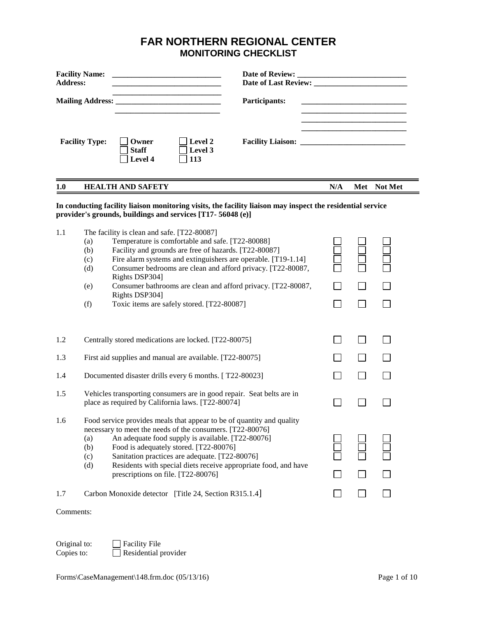# **FAR NORTHERN REGIONAL CENTER MONITORING CHECKLIST**

| <b>Address:</b> | <b>Facility Name:</b><br>Date of Review:<br><u> 1980 - Johann Barn, mars an t-Amerikaansk kommunister (</u><br><u> 1989 - Johann Barbara, martin da kasar Amerikaan kasar dan bidang dikenali dari dalam bara dalam bidang dike</u>                                                                                                                                                                                                                                                  |                |  |             |  |  |  |
|-----------------|--------------------------------------------------------------------------------------------------------------------------------------------------------------------------------------------------------------------------------------------------------------------------------------------------------------------------------------------------------------------------------------------------------------------------------------------------------------------------------------|----------------|--|-------------|--|--|--|
|                 | the contract of the contract of the contract of the contract of the contract of<br>Participants:                                                                                                                                                                                                                                                                                                                                                                                     |                |  |             |  |  |  |
|                 | Level 2<br><b>Facility Type:</b><br>Owner<br><b>Staff</b><br>Level 3<br>Level 4<br>113                                                                                                                                                                                                                                                                                                                                                                                               |                |  |             |  |  |  |
| 1.0             | <b>HEALTH AND SAFETY</b>                                                                                                                                                                                                                                                                                                                                                                                                                                                             | N/A            |  | Met Not Met |  |  |  |
|                 | In conducting facility liaison monitoring visits, the facility liaison may inspect the residential service<br>provider's grounds, buildings and services [T17-56048 (e)]                                                                                                                                                                                                                                                                                                             |                |  |             |  |  |  |
| 1.1             | The facility is clean and safe. [T22-80087]<br>Temperature is comfortable and safe. [T22-80088]<br>(a)<br>Facility and grounds are free of hazards. [T22-80087]<br>(b)<br>Fire alarm systems and extinguishers are operable. [T19-1.14]<br>(c)<br>Consumer bedrooms are clean and afford privacy. [T22-80087,<br>(d)<br>Rights DSP304]<br>Consumer bathrooms are clean and afford privacy. [T22-80087,<br>(e)<br>Rights DSP304]<br>Toxic items are safely stored. [T22-80087]<br>(f) | $\Box$         |  |             |  |  |  |
| 1.2             | Centrally stored medications are locked. [T22-80075]                                                                                                                                                                                                                                                                                                                                                                                                                                 |                |  |             |  |  |  |
| 1.3             | First aid supplies and manual are available. [T22-80075]                                                                                                                                                                                                                                                                                                                                                                                                                             |                |  |             |  |  |  |
| 1.4             | Documented disaster drills every 6 months. [T22-80023]                                                                                                                                                                                                                                                                                                                                                                                                                               | $\blacksquare$ |  |             |  |  |  |
| 1.5             | Vehicles transporting consumers are in good repair. Seat belts are in<br>place as required by California laws. [T22-80074]                                                                                                                                                                                                                                                                                                                                                           |                |  |             |  |  |  |
| 1.6             | Food service provides meals that appear to be of quantity and quality<br>necessary to meet the needs of the consumers. [T22-80076]<br>An adequate food supply is available. [T22-80076]<br>(a)<br>Food is adequately stored. [T22-80076]<br>(b)<br>Sanitation practices are adequate. [T22-80076]<br>(c)<br>Residents with special diets receive appropriate food, and have<br>(d)<br>prescriptions on file. [T22-80076]                                                             |                |  |             |  |  |  |
| 1.7             | Carbon Monoxide detector [Title 24, Section R315.1.4]                                                                                                                                                                                                                                                                                                                                                                                                                                |                |  |             |  |  |  |
| Comments:       |                                                                                                                                                                                                                                                                                                                                                                                                                                                                                      |                |  |             |  |  |  |

Original to:  $\Box$  Facility File<br>
Copies to:  $\Box$  Residential p  $\overline{\Box}$  Residential provider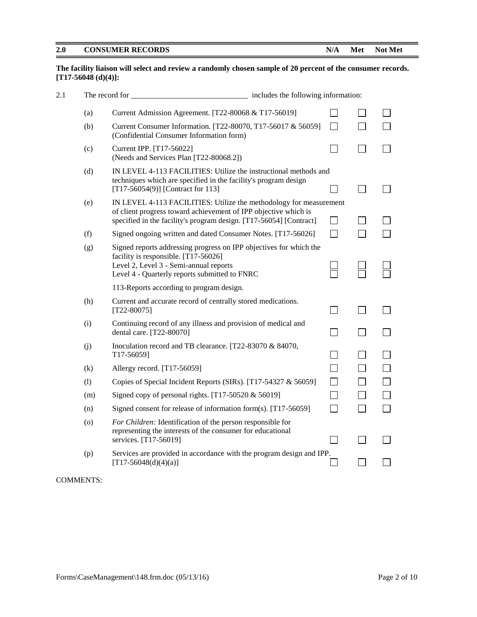#### **The facility liaison will select and review a randomly chosen sample of 20 percent of the consumer records. [T17-56048 (d)(4)]:**

| 2.1 |     | The record for                                                                                                                                                                                              | includes the following information: |  |  |  |  |
|-----|-----|-------------------------------------------------------------------------------------------------------------------------------------------------------------------------------------------------------------|-------------------------------------|--|--|--|--|
|     | (a) | Current Admission Agreement. [T22-80068 & T17-56019]                                                                                                                                                        |                                     |  |  |  |  |
|     | (b) | Current Consumer Information. [T22-80070, T17-56017 & 56059]<br>(Confidential Consumer Information form)                                                                                                    |                                     |  |  |  |  |
|     | (c) | Current IPP. [T17-56022]<br>(Needs and Services Plan [T22-80068.2])                                                                                                                                         |                                     |  |  |  |  |
|     | (d) | IN LEVEL 4-113 FACILITIES: Utilize the instructional methods and<br>techniques which are specified in the facility's program design<br>[T17-56054(9)] [Contract for 113]                                    |                                     |  |  |  |  |
|     | (e) | IN LEVEL 4-113 FACILITIES: Utilize the methodology for measurement<br>of client progress toward achievement of IPP objective which is<br>specified in the facility's program design. [T17-56054] [Contract] |                                     |  |  |  |  |
|     | (f) | Signed ongoing written and dated Consumer Notes. [T17-56026]                                                                                                                                                | П                                   |  |  |  |  |
|     | (g) | Signed reports addressing progress on IPP objectives for which the<br>facility is responsible. [T17-56026]<br>Level 2, Level 3 - Semi-annual reports<br>Level 4 - Quarterly reports submitted to FNRC       |                                     |  |  |  |  |
|     |     | 113-Reports according to program design.                                                                                                                                                                    |                                     |  |  |  |  |
|     | (h) | Current and accurate record of centrally stored medications.<br>$[T22-80075]$                                                                                                                               |                                     |  |  |  |  |
|     | (i) | Continuing record of any illness and provision of medical and<br>dental care. [T22-80070]                                                                                                                   |                                     |  |  |  |  |
|     | (j) | Inoculation record and TB clearance. [T22-83070 & 84070,<br>T17-56059]                                                                                                                                      |                                     |  |  |  |  |
|     | (k) | Allergy record. [T17-56059]                                                                                                                                                                                 |                                     |  |  |  |  |
|     | (1) | Copies of Special Incident Reports (SIRs). [T17-54327 & 56059]                                                                                                                                              |                                     |  |  |  |  |
|     | (m) | Signed copy of personal rights. [T17-50520 $&$ 56019]                                                                                                                                                       |                                     |  |  |  |  |
|     | (n) | Signed consent for release of information form(s). [T17-56059]                                                                                                                                              |                                     |  |  |  |  |
|     | (0) | For Children: Identification of the person responsible for<br>representing the interests of the consumer for educational<br>services. [T17-56019]                                                           |                                     |  |  |  |  |
|     | (p) | Services are provided in accordance with the program design and IPP.<br>$[T17-56048(d)(4)(a)]$                                                                                                              |                                     |  |  |  |  |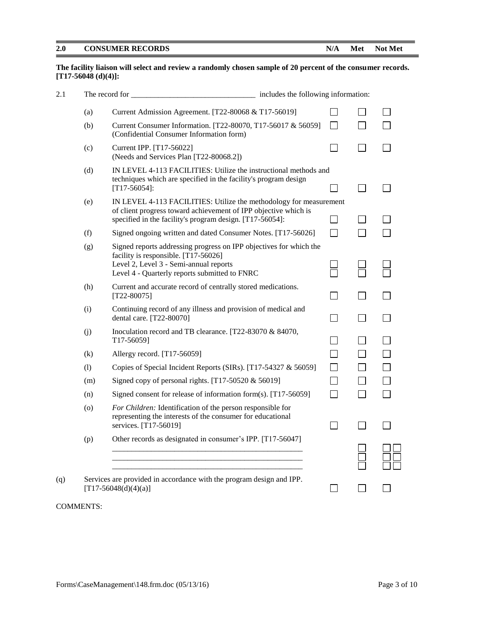# **The facility liaison will select and review a randomly chosen sample of 20 percent of the consumer records. [T17-56048 (d)(4)]:**

| 2.1 |     | The record for the state of the state of the state of the state of the state of the state of the state of the state of the state of the state of the state of the state of the state of the state of the state of the state of | includes the following information: |                             |        |  |  |
|-----|-----|--------------------------------------------------------------------------------------------------------------------------------------------------------------------------------------------------------------------------------|-------------------------------------|-----------------------------|--------|--|--|
|     | (a) | Current Admission Agreement. [T22-80068 & T17-56019]                                                                                                                                                                           |                                     | $\blacksquare$              |        |  |  |
|     | (b) | Current Consumer Information. [T22-80070, T17-56017 & 56059]<br>(Confidential Consumer Information form)                                                                                                                       |                                     | $\mathbf{I}$                |        |  |  |
|     | (c) | Current IPP. [T17-56022]<br>(Needs and Services Plan [T22-80068.2])                                                                                                                                                            |                                     |                             |        |  |  |
|     | (d) | IN LEVEL 4-113 FACILITIES: Utilize the instructional methods and<br>techniques which are specified in the facility's program design<br>$[T17-56054]$ :                                                                         |                                     |                             | $\sim$ |  |  |
|     | (e) | IN LEVEL 4-113 FACILITIES: Utilize the methodology for measurement<br>of client progress toward achievement of IPP objective which is<br>specified in the facility's program design. [T17-56054]:                              |                                     | $\mathcal{L}_{\mathcal{A}}$ |        |  |  |
|     | (f) | Signed ongoing written and dated Consumer Notes. [T17-56026]                                                                                                                                                                   |                                     | $\mathsf{L}$                |        |  |  |
|     | (g) | Signed reports addressing progress on IPP objectives for which the<br>facility is responsible. [T17-56026]<br>Level 2, Level 3 - Semi-annual reports<br>Level 4 - Quarterly reports submitted to FNRC                          |                                     |                             |        |  |  |
|     | (h) | Current and accurate record of centrally stored medications.<br>$[T22-80075]$                                                                                                                                                  |                                     |                             |        |  |  |
|     | (i) | Continuing record of any illness and provision of medical and<br>dental care. [T22-80070]                                                                                                                                      |                                     |                             |        |  |  |
|     | (j) | Inoculation record and TB clearance. [T22-83070 & 84070,<br>T17-56059]                                                                                                                                                         |                                     |                             |        |  |  |
|     | (k) | Allergy record. [T17-56059]                                                                                                                                                                                                    |                                     |                             |        |  |  |
|     | (1) | Copies of Special Incident Reports (SIRs). [T17-54327 & 56059]                                                                                                                                                                 |                                     |                             |        |  |  |
|     | (m) | Signed copy of personal rights. [T17-50520 $&$ 56019]                                                                                                                                                                          |                                     |                             |        |  |  |
|     | (n) | Signed consent for release of information form(s). [T17-56059]                                                                                                                                                                 |                                     | П                           | $\sim$ |  |  |
|     | (o) | For Children: Identification of the person responsible for<br>representing the interests of the consumer for educational<br>services. [T17-56019]                                                                              |                                     | $\mathcal{L}$               |        |  |  |
|     | (p) | Other records as designated in consumer's IPP. [T17-56047]                                                                                                                                                                     |                                     |                             |        |  |  |
| (q) |     | Services are provided in accordance with the program design and IPP.<br>$[T17-56048(d)(4)(a)]$                                                                                                                                 |                                     |                             |        |  |  |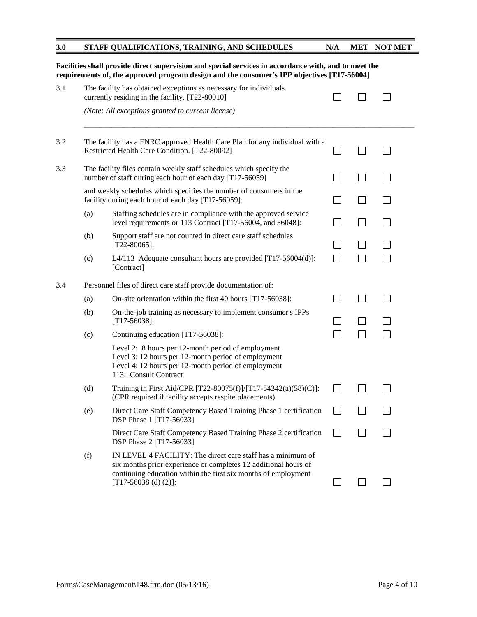| 3.0 | STAFF QUALIFICATIONS, TRAINING, AND SCHEDULES |  | N/A MET NOT MET |
|-----|-----------------------------------------------|--|-----------------|
|     |                                               |  |                 |

|     |     | Facilities shall provide direct supervision and special services in accordance with, and to meet the<br>requirements of, the approved program design and the consumer's IPP objectives [T17-56004]                          |  |  |
|-----|-----|-----------------------------------------------------------------------------------------------------------------------------------------------------------------------------------------------------------------------------|--|--|
| 3.1 |     | The facility has obtained exceptions as necessary for individuals<br>currently residing in the facility. [T22-80010]                                                                                                        |  |  |
|     |     | (Note: All exceptions granted to current license)                                                                                                                                                                           |  |  |
| 3.2 |     | The facility has a FNRC approved Health Care Plan for any individual with a<br>Restricted Health Care Condition. [T22-80092]                                                                                                |  |  |
| 3.3 |     | The facility files contain weekly staff schedules which specify the<br>number of staff during each hour of each day [T17-56059]                                                                                             |  |  |
|     |     | and weekly schedules which specifies the number of consumers in the<br>facility during each hour of each day [T17-56059]:                                                                                                   |  |  |
|     | (a) | Staffing schedules are in compliance with the approved service<br>level requirements or 113 Contract [T17-56004, and 56048]:                                                                                                |  |  |
|     | (b) | Support staff are not counted in direct care staff schedules<br>$[T22-80065]$ :                                                                                                                                             |  |  |
|     | (c) | L4/113 Adequate consultant hours are provided $[T17-56004(d)]$ :<br>[Contract]                                                                                                                                              |  |  |
| 3.4 |     | Personnel files of direct care staff provide documentation of:                                                                                                                                                              |  |  |
|     | (a) | On-site orientation within the first 40 hours [T17-56038]:                                                                                                                                                                  |  |  |
|     | (b) | On-the-job training as necessary to implement consumer's IPPs<br>$[T17-56038]$ :                                                                                                                                            |  |  |
|     | (c) | Continuing education [T17-56038]:                                                                                                                                                                                           |  |  |
|     |     | Level 2: 8 hours per 12-month period of employment<br>Level 3: 12 hours per 12-month period of employment<br>Level 4: 12 hours per 12-month period of employment<br>113: Consult Contract                                   |  |  |
|     | (d) | Training in First Aid/CPR [T22-80075(f)]/[T17-54342(a)(58)(C)]:<br>(CPR required if facility accepts respite placements)                                                                                                    |  |  |
|     | (e) | Direct Care Staff Competency Based Training Phase 1 certification<br>DSP Phase 1 [T17-56033]                                                                                                                                |  |  |
|     |     | Direct Care Staff Competency Based Training Phase 2 certification<br>DSP Phase 2 [T17-56033]                                                                                                                                |  |  |
|     | (f) | IN LEVEL 4 FACILITY: The direct care staff has a minimum of<br>six months prior experience or completes 12 additional hours of<br>continuing education within the first six months of employment<br>[T17-56038 (d) $(2)$ ]: |  |  |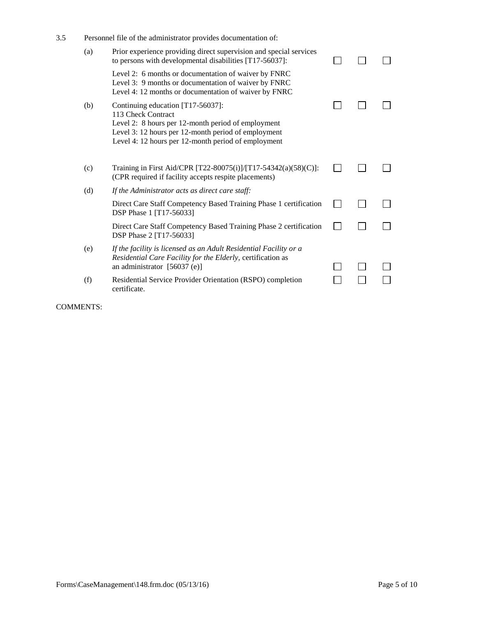| 3.5 | Personnel file of the administrator provides documentation of: |                                                                                                                                                                                                                             |  |  |  |  |  |  |  |  |
|-----|----------------------------------------------------------------|-----------------------------------------------------------------------------------------------------------------------------------------------------------------------------------------------------------------------------|--|--|--|--|--|--|--|--|
|     | (a)                                                            | Prior experience providing direct supervision and special services<br>to persons with developmental disabilities [T17-56037]:                                                                                               |  |  |  |  |  |  |  |  |
|     |                                                                | Level 2: 6 months or documentation of waiver by FNRC<br>Level 3: 9 months or documentation of waiver by FNRC<br>Level 4: 12 months or documentation of waiver by FNRC                                                       |  |  |  |  |  |  |  |  |
|     | (b)                                                            | Continuing education [T17-56037]:<br>113 Check Contract<br>Level 2: 8 hours per 12-month period of employment<br>Level 3: 12 hours per 12-month period of employment<br>Level 4: 12 hours per 12-month period of employment |  |  |  |  |  |  |  |  |
|     | (c)                                                            | Training in First Aid/CPR [T22-80075(i)]/[T17-54342(a)(58)(C)]:<br>(CPR required if facility accepts respite placements)                                                                                                    |  |  |  |  |  |  |  |  |
|     | (d)                                                            | If the Administrator acts as direct care staff:                                                                                                                                                                             |  |  |  |  |  |  |  |  |
|     |                                                                | Direct Care Staff Competency Based Training Phase 1 certification<br>DSP Phase 1 [T17-56033]                                                                                                                                |  |  |  |  |  |  |  |  |
|     |                                                                | Direct Care Staff Competency Based Training Phase 2 certification<br>DSP Phase 2 [T17-56033]                                                                                                                                |  |  |  |  |  |  |  |  |
|     | (e)                                                            | If the facility is licensed as an Adult Residential Facility or a<br>Residential Care Facility for the Elderly, certification as<br>an administrator [56037 (e)]                                                            |  |  |  |  |  |  |  |  |
|     | (f)                                                            | Residential Service Provider Orientation (RSPO) completion<br>certificate.                                                                                                                                                  |  |  |  |  |  |  |  |  |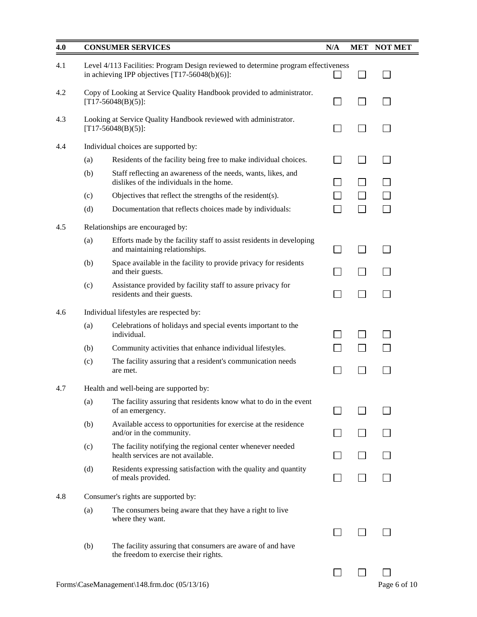| 4.0 |     | <b>CONSUMER SERVICES</b>                                                                                                                | N/A            | <b>MET</b> | <b>NOT MET</b> |
|-----|-----|-----------------------------------------------------------------------------------------------------------------------------------------|----------------|------------|----------------|
| 4.1 |     | Level 4/113 Facilities: Program Design reviewed to determine program effectiveness<br>in achieving IPP objectives $[T17-56048(b)(6)]$ : |                |            |                |
| 4.2 |     | Copy of Looking at Service Quality Handbook provided to administrator.<br>$[T17-56048(B)(5)]$ :                                         | $\sim$         |            |                |
| 4.3 |     | Looking at Service Quality Handbook reviewed with administrator.<br>$[T17-56048(B)(5)]$ :                                               |                |            |                |
| 4.4 |     | Individual choices are supported by:                                                                                                    |                |            |                |
|     | (a) | Residents of the facility being free to make individual choices.                                                                        | $\blacksquare$ |            | $\Box$         |
|     | (b) | Staff reflecting an awareness of the needs, wants, likes, and<br>dislikes of the individuals in the home.                               |                |            |                |
|     | (c) | Objectives that reflect the strengths of the resident(s).                                                                               |                |            |                |
|     | (d) | Documentation that reflects choices made by individuals:                                                                                |                |            |                |
| 4.5 |     | Relationships are encouraged by:                                                                                                        |                |            |                |
|     | (a) | Efforts made by the facility staff to assist residents in developing<br>and maintaining relationships.                                  |                |            |                |
|     | (b) | Space available in the facility to provide privacy for residents<br>and their guests.                                                   |                |            |                |
|     | (c) | Assistance provided by facility staff to assure privacy for<br>residents and their guests.                                              | $\sim$         |            |                |
| 4.6 |     | Individual lifestyles are respected by:                                                                                                 |                |            |                |
|     | (a) | Celebrations of holidays and special events important to the<br>individual.                                                             |                |            |                |
|     | (b) | Community activities that enhance individual lifestyles.                                                                                |                |            |                |
|     | (c) | The facility assuring that a resident's communication needs<br>are met.                                                                 |                |            |                |
| 4.7 |     | Health and well-being are supported by:                                                                                                 |                |            |                |
|     | (a) | The facility assuring that residents know what to do in the event<br>of an emergency.                                                   |                |            |                |
|     | (b) | Available access to opportunities for exercise at the residence<br>and/or in the community.                                             |                |            |                |
|     | (c) | The facility notifying the regional center whenever needed<br>health services are not available.                                        |                |            |                |
|     | (d) | Residents expressing satisfaction with the quality and quantity<br>of meals provided.                                                   |                |            |                |
| 4.8 |     | Consumer's rights are supported by:                                                                                                     |                |            |                |
|     | (a) | The consumers being aware that they have a right to live<br>where they want.                                                            |                |            |                |
|     | (b) | The facility assuring that consumers are aware of and have<br>the freedom to exercise their rights.                                     |                |            |                |
|     |     | Forms\CaseManagement\148.frm.doc (05/13/16)                                                                                             |                |            | Page 6 of 10   |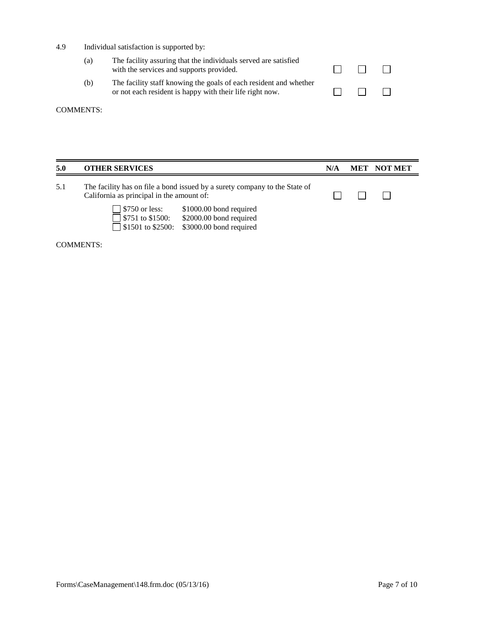4.9 Individual satisfaction is supported by:

| (a) | The facility assuring that the individuals served are satisfied<br>with the services and supports provided.                   | $\Box$ | $\pm$ |
|-----|-------------------------------------------------------------------------------------------------------------------------------|--------|-------|
| (b) | The facility staff knowing the goals of each resident and whether<br>or not each resident is happy with their life right now. | $\Box$ | $\pm$ |

# COMMENTS:

| 5.0 | <b>OTHER SERVICES</b>                                                                                                   |                                                                               | N/A | MET | <b>NOT MET</b> |
|-----|-------------------------------------------------------------------------------------------------------------------------|-------------------------------------------------------------------------------|-----|-----|----------------|
| 5.1 | The facility has on file a bond issued by a surety company to the State of<br>California as principal in the amount of: |                                                                               |     |     |                |
|     | $\Box$ \$750 or less:<br>$\Box$ \$751 to \$1500:<br>$\sqrt{\frac{1}{1501}}$ to \$2500:                                  | \$1000.00 bond required<br>\$2000.00 bond required<br>\$3000.00 bond required |     |     |                |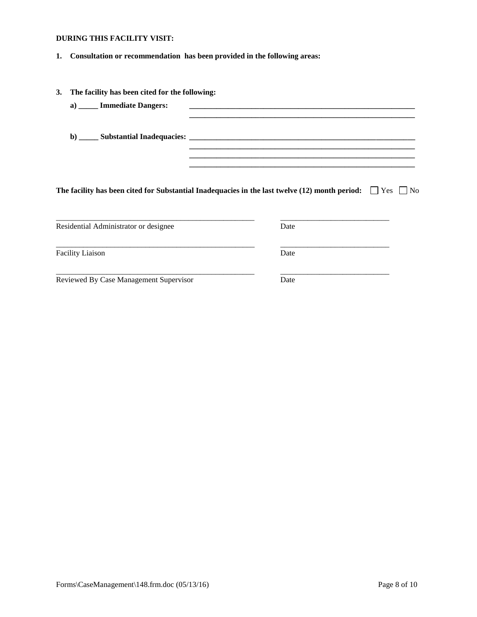# **DURING THIS FACILITY VISIT:**

**1. Consultation or recommendation has been provided in the following areas:**

| 3. | The facility has been cited for the following: |                                                                                                                     |
|----|------------------------------------------------|---------------------------------------------------------------------------------------------------------------------|
|    | a) _____ Immediate Dangers:                    |                                                                                                                     |
|    |                                                |                                                                                                                     |
|    |                                                | The facility has been cited for Substantial Inadequacies in the last twelve (12) month period: $\Box$ Yes $\Box$ No |
|    | Residential Administrator or designee          | Date                                                                                                                |
|    |                                                |                                                                                                                     |
|    | <b>Facility Liaison</b>                        | Date                                                                                                                |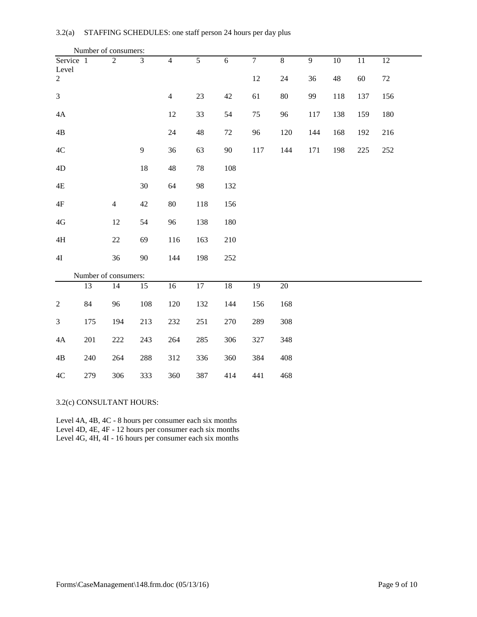|                    | Number of consumers: |                      |                |                |                |                |                |                |                |             |        |        |
|--------------------|----------------------|----------------------|----------------|----------------|----------------|----------------|----------------|----------------|----------------|-------------|--------|--------|
| Service 1<br>Level |                      | $\overline{2}$       | 3              | $\overline{4}$ | $\overline{5}$ | $\overline{6}$ | $\overline{7}$ | $\overline{8}$ | $\overline{9}$ | $10\,$      | 11     | 12     |
| $\overline{2}$     |                      |                      |                |                |                |                | 12             | 24             | 36             | $\sqrt{48}$ | $60\,$ | $72\,$ |
| $\overline{3}$     |                      |                      |                | $\overline{4}$ | $23\,$         | 42             | 61             | $80\,$         | 99             | 118         | 137    | 156    |
| $4\mathrm{A}$      |                      |                      |                | 12             | 33             | 54             | 75             | 96             | 117            | 138         | 159    | 180    |
| $4\mathrm{B}$      |                      |                      |                | 24             | 48             | $72\,$         | 96             | 120            | 144            | 168         | 192    | 216    |
| $4\mathrm{C}$      |                      |                      | $\overline{9}$ | 36             | 63             | 90             | 117            | 144            | 171            | 198         | 225    | 252    |
| 4D                 |                      |                      | 18             | 48             | 78             | 108            |                |                |                |             |        |        |
| $4\mathrm{E}$      |                      |                      | 30             | 64             | 98             | 132            |                |                |                |             |        |        |
| $4\mathrm{F}$      |                      | $\overline{4}$       | 42             | 80             | 118            | 156            |                |                |                |             |        |        |
| $4\mbox{G}$        |                      | 12                   | 54             | 96             | 138            | 180            |                |                |                |             |        |        |
| $4\mathrm{H}$      |                      | $22\,$               | 69             | 116            | 163            | 210            |                |                |                |             |        |        |
| 4I                 |                      | 36                   | 90             | 144            | 198            | 252            |                |                |                |             |        |        |
|                    |                      | Number of consumers: |                |                |                |                |                |                |                |             |        |        |
|                    | 13                   | 14                   | 15             | 16             | 17             | $18\,$         | 19             | 20             |                |             |        |        |
| $\sqrt{2}$         | 84                   | 96                   | 108            | 120            | 132            | 144            | 156            | 168            |                |             |        |        |
| $\mathfrak{Z}$     | 175                  | 194                  | 213            | 232            | 251            | 270            | 289            | 308            |                |             |        |        |
| $4\mathrm{A}$      | 201                  | 222                  | 243            | 264            | 285            | 306            | 327            | 348            |                |             |        |        |
| $4\mathrm{B}$      | 240                  | 264                  | 288            | 312            | 336            | 360            | 384            | 408            |                |             |        |        |
| $4\mathrm{C}$      | 279                  | 306                  | 333            | 360            | 387            | 414            | 441            | 468            |                |             |        |        |

### 3.2(c) CONSULTANT HOURS:

Level 4A, 4B, 4C - 8 hours per consumer each six months Level 4D, 4E, 4F - 12 hours per consumer each six months Level 4G, 4H, 4I - 16 hours per consumer each six months